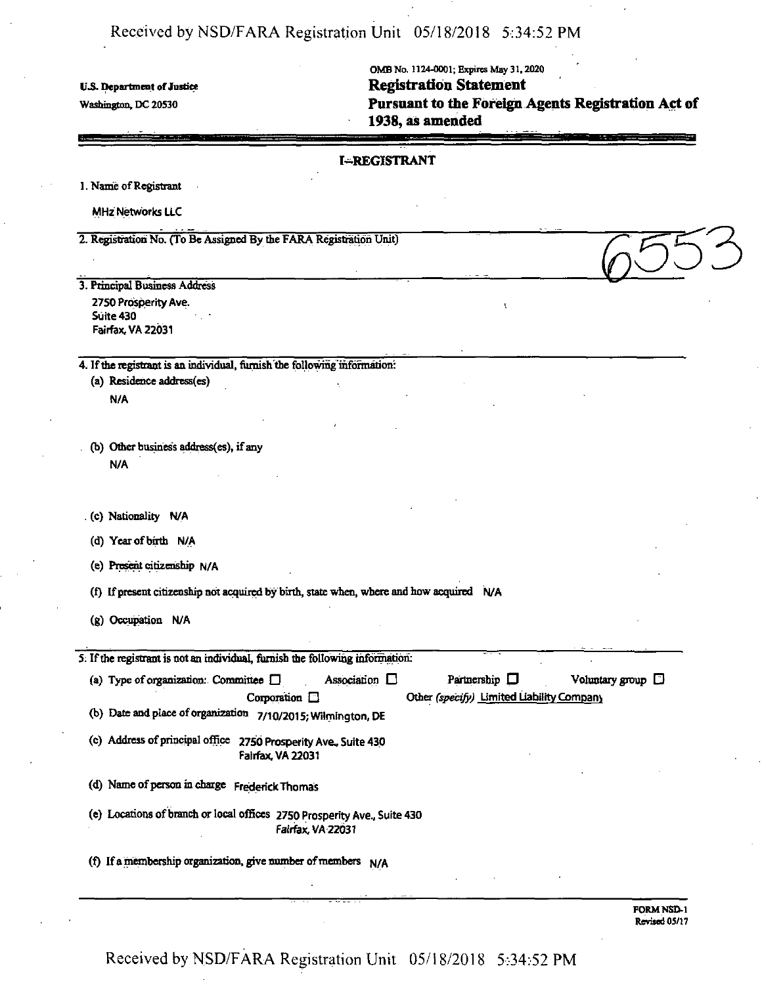# Received by NSD/FARA Registration Unit 05/18/2018 5:34:52 PM

**t\S. Department ofJustice**

Washington, DC 20530

OMBNo. 1124\*0001; Expires May 31,2020 **Registration Statement Pursuant to the Foreign Agents Registration Act of 1938, as amended**

|    |   | <b>I-REGISTRANT</b> |
|----|---|---------------------|
|    | ٠ |                     |
| ĸ. |   |                     |
|    |   |                     |

1. Name of Registrant **MHz Networks LLC** 

2. Registration No. (To Be Assigned By die FARA Registration Unit)

3. Principal Business Address 2750 Prosperity Ave. Suite 430 Fairfax, VA 22031

4. If the registrant is an individual, furnish the following information:

(a) Residence address(es) N/A

(b) Other business address(es), if any N/A

. (c) Nationality N/A

(d) Year of birth N/A

(e) Present citizenship n/A

(f) If present citizenship not acquired by birth, state when, where and how acquired  $N/A$ 

(g) Occupation N/A

5. Ifthe registrant is not an individual, furnish the following information:

| (a) Type of organization: Committee $\square$<br>Association $\square$                        | Partnership $\Box$                        | Voluntary group $\square$ |
|-----------------------------------------------------------------------------------------------|-------------------------------------------|---------------------------|
| Corporation $\Box$                                                                            | Other (specify) Limited Liability Company |                           |
| (b) Date and place of organization<br>7/10/2015; Wilmington, DE                               |                                           |                           |
| (c) Address of principal office<br>2750 Prosperity Ave., Suite 430<br>Fairfax, VA 22031       |                                           |                           |
| (d) Name of person in charge Frederick Thomas                                                 |                                           |                           |
| (e) Locations of branch or local offices 2750 Prosperity Ave., Suite 430<br>Fairfax, VA-22031 |                                           |                           |
| (f) If a membership organization, give number of members N/A                                  |                                           |                           |

Received by NSD/FARA Registration Unit 05/18/2018 5:34:52 PM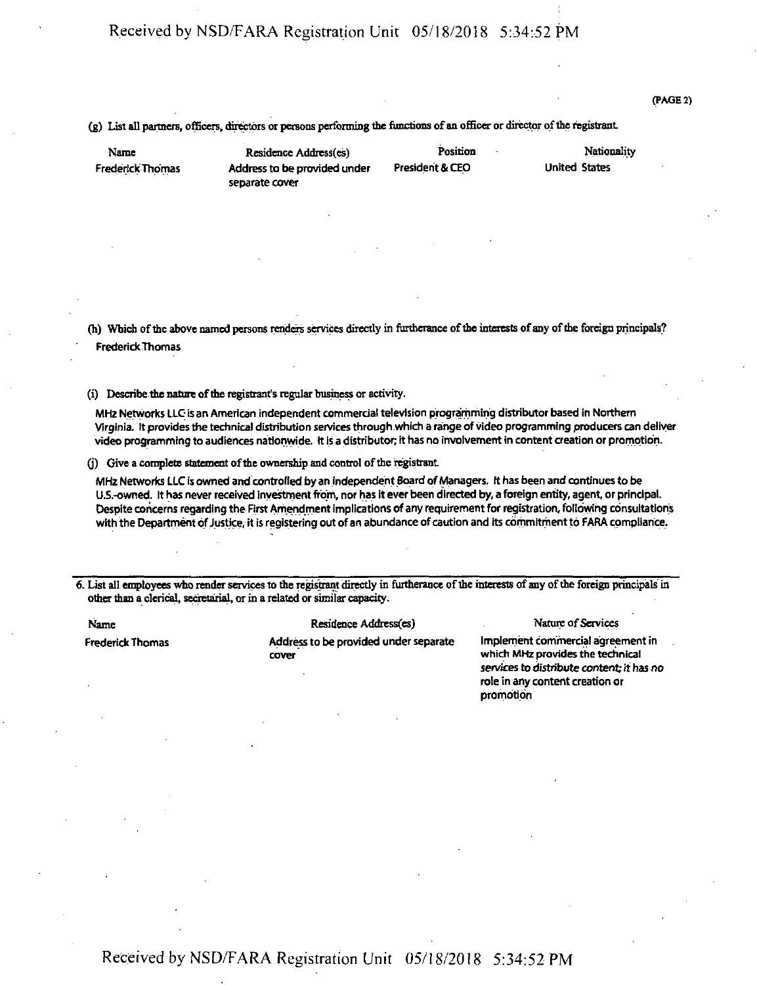## Received by NSD/FARA Registration Unit 05/18/2018 5:34:52 PM

#### (PAGE 2)

(g) List all partners, officers, directors or persons performing the functions of an officer or director of the registrant.

Name Frederick Thomas

Address to be provided under President & CEO separate cover

Residence Address(es) Position

Nationality United States

(h) Which of the above named persons renders services directly in furtherance of the interests of any of the foreign principals? FrederickThomas

(i) Describe the nature of the registrant's regular business or activity.

MHz Networks LLO is an American independent commercial television programming distributor based in Northern Virginia. It provides the technical distribution services through which a range of video programming producers can deliver video programming to audiences nationwide, it is a distributor;it has no involvement in content creation or promotion.

(j) Give a complete statement of the ownership and control of the registrant.

MHz Networks LLC is owned and controlled by an independent Board of Managers. It has been and continues to be U.S.-owned. It has never received investment from, nor has it ever been directed by, a foreign entity, agent, or principal. Despite concerns regarding the First Amendment implications of any requirement for registration, following consultations with the Department of Justice, it is registering out of an abundance of caution and its commitment to FARA compliance.

6. List all employees who renderservicesto the registrant directly in furtherance ofthe interests ofany ofthe foreign principals in other than a clerical, secretarial, or in a related orsimilar capacity.

Name

**Frederick Thomas** 

Residence Address(es)

Address to be provided under separate cover

Nature of Services

Implement commercial agreement in which MHz provides the technical services to distribute content; it has no role in any content creation or promotion

Received by NSD/FARA Registration Unit 05/18/2018 5:34:52 PM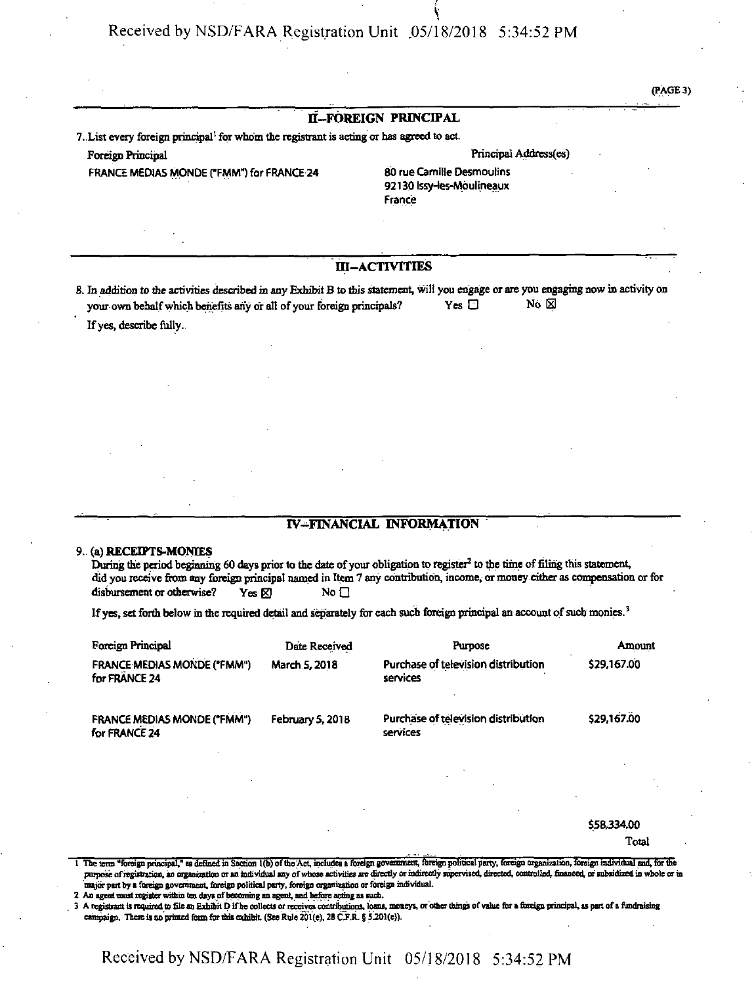Received by NSD/FARA Registration Unit .05/18/2018 5:34:52 PM

(PAGE 3)

### **if—FOREIGN PRINCIPAL**

7. List every foreign principal<sup>1</sup> for whom the registrant is acting or has agreed to act.

FRANCE MEDIAS MONDE ("FMM") for FRANCE 24 80 rue Camille Desmoulins

#### Foreign Principal and Transfer and Transfer and Transfer and Transfer and Principal Address(es)

92130 Issy-les-Moulineaux France

#### **M-ACTIVITIES**

8. In addition to the activities described in any Exhibit B to this statement, will you engage or are you engaging now in activity on your own behalf which benefits any or all of your foreign principals? Yes  $\Box$  No  $\boxtimes$ 

If yes, describe fully.

#### **IV-FINANCIAL INFORMATION**

#### **9. (a) RECEIPTS-MONIES**

During the period beginning 60 days prior to the date of your obligation to register<sup>2</sup> to the time of filing this statement, did you receive from any foreign principal named in Item 7 any contribution, income, or money either as compensation or for disbursement or otherwise? Yes  $\boxtimes$  No  $\Box$ 

If yes, set forth below in the required detail and separately for each such foreign principal an account of such monies.<sup>3</sup>

| Foreign Principal                                   | Date Received    | <b>Purpose</b>                                  | Amount      |
|-----------------------------------------------------|------------------|-------------------------------------------------|-------------|
| <b>FRANCE MEDIAS MONDE ("FMM")</b><br>for FRANCE 24 | March 5, 2018    | Purchase of television distribution<br>services | \$29,167.00 |
| <b>FRANCE MEDIAS MONDE ("FMM")</b><br>for FRANCE 24 | February 5, 2018 | Purchase of television distribution<br>services | \$29,167.00 |

\$58,334.00

Total

<sup>1</sup> The tens "foreign principal," udefinedin Section 1(b) oftheAct, includes <sup>a</sup> foreign government, foreign political party, foreign organisation, foreign individual and, forthe purpose of registration, an organization or an individual any of whose activities are directly or indirectly supervised, directed, controlled, financed, or subsidized in whole or in major part by a foreign government, foreign political party, foreign organization or foreign individual.

2 An agent must register within ten days of becoming an agent, and before acting as such.

3 A registrant is required to file an Exhibit D if he collects or receives contributions, loans, moneys, or other things of value for a foreign principal, as part of a fundraising campaign. There is no printed form for this exhibit. (See Rule 201(e), 28 C.F.R. § 5.201(e)).

Received by NSD/FARA Registration Unit 05/18/2018 5:34:52 PM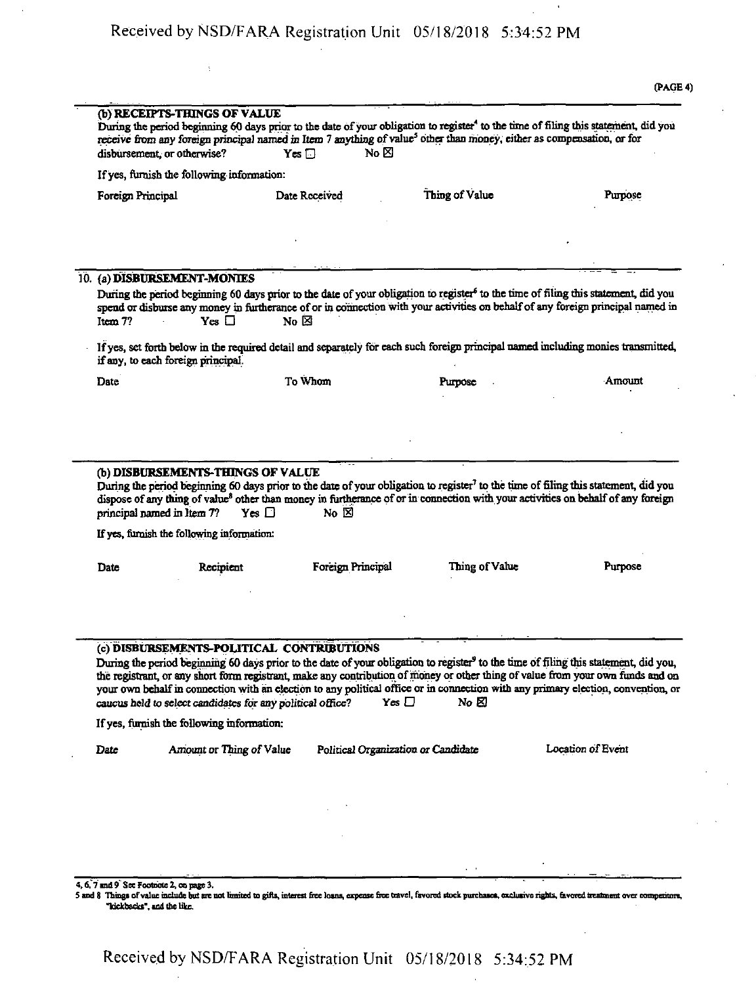|         |                                                                                                               |                                           |                                                                                                                                    | (PAGE 4                                                                                                                                                                                                                                                                                                                                                                                                                  |
|---------|---------------------------------------------------------------------------------------------------------------|-------------------------------------------|------------------------------------------------------------------------------------------------------------------------------------|--------------------------------------------------------------------------------------------------------------------------------------------------------------------------------------------------------------------------------------------------------------------------------------------------------------------------------------------------------------------------------------------------------------------------|
|         | (b) RECEIPTS-THINGS OF VALUE<br>disbursement, or otherwise?                                                   | No $\boxtimes$<br>$Yes \Box$              | receive from any foreign principal named in Item 7 anything of value <sup>5</sup> other than money, either as compensation, or for | During the period beginning 60 days prior to the date of your obligation to register <sup>4</sup> to the time of filing this statement, did you                                                                                                                                                                                                                                                                          |
|         | If yes, furnish the following information:                                                                    |                                           |                                                                                                                                    |                                                                                                                                                                                                                                                                                                                                                                                                                          |
|         | Foreign Principal                                                                                             | Date Received                             | Thing of Value                                                                                                                     | Purpose                                                                                                                                                                                                                                                                                                                                                                                                                  |
|         |                                                                                                               |                                           |                                                                                                                                    |                                                                                                                                                                                                                                                                                                                                                                                                                          |
|         |                                                                                                               |                                           |                                                                                                                                    |                                                                                                                                                                                                                                                                                                                                                                                                                          |
|         | 10. (a) DISBURSEMENT-MONIES                                                                                   |                                           |                                                                                                                                    |                                                                                                                                                                                                                                                                                                                                                                                                                          |
| Item 7? | $Yes \Box$                                                                                                    | No ⊠                                      |                                                                                                                                    | During the period beginning 60 days prior to the date of your obligation to register <sup>6</sup> to the time of filing this statement, did you<br>spend or disburse any money in furtherance of or in connection with your activities on behalf of any foreign principal named in                                                                                                                                       |
|         | if any, to each foreign principal.                                                                            |                                           |                                                                                                                                    | If yes, set forth below in the required detail and separately for each such foreign principal named including monies transmitted,                                                                                                                                                                                                                                                                                        |
| Date    |                                                                                                               | To Whom                                   | Purpose                                                                                                                            | Amount                                                                                                                                                                                                                                                                                                                                                                                                                   |
|         | (b) DISBURSEMENTS-THINGS OF VALUE<br>principal named in Item 7?<br>If yes, furnish the following information: | No $\boxtimes$<br>$Yes \Box$              |                                                                                                                                    | During the period beginning 60 days prior to the date of your obligation to register <sup>7</sup> to the time of filing this statement, did you<br>dispose of any thing of value <sup>8</sup> other than money in furtherance of or in connection with your activities on behalf of any foreign                                                                                                                          |
|         |                                                                                                               |                                           |                                                                                                                                    |                                                                                                                                                                                                                                                                                                                                                                                                                          |
| Date    | Recipient                                                                                                     | Foreign Principal                         | Thing of Value                                                                                                                     | Purpose                                                                                                                                                                                                                                                                                                                                                                                                                  |
|         |                                                                                                               | (c) DISBURSEMENTS-POLITICAL CONTRIBUTIONS |                                                                                                                                    | During the period beginning 60 days prior to the date of your obligation to register <sup>9</sup> to the time of filing this statement, did you,<br>the registrant, or any short form registrant, make any contribution of money or other thing of value from your own funds and on<br>your own behalf in connection with an election to any political office or in connection with any primary election, convention, or |
|         | caucus held to select candidates for any political office?                                                    |                                           | Yes $\Box$<br>No &                                                                                                                 |                                                                                                                                                                                                                                                                                                                                                                                                                          |
|         | If yes, furnish the following information:                                                                    |                                           |                                                                                                                                    |                                                                                                                                                                                                                                                                                                                                                                                                                          |
| Date    | Amount or Thing of Value                                                                                      |                                           | Political Organization or Candidate                                                                                                | Location of Event                                                                                                                                                                                                                                                                                                                                                                                                        |
|         |                                                                                                               |                                           |                                                                                                                                    |                                                                                                                                                                                                                                                                                                                                                                                                                          |

4, 6, 7 and 9 See Footnote 2, on page 3.<br>5 and 8 Things of value include but are not limited to gifts, interest free loans, expense free travel, favored stock purchases, exclusive rights, favored treatment over competitors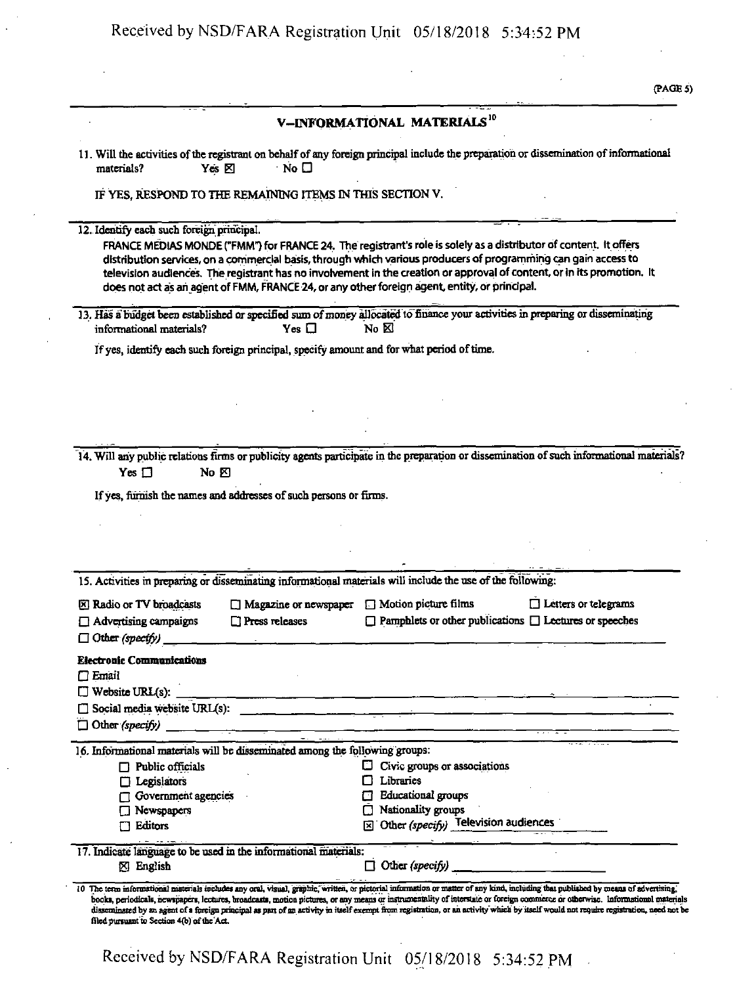|                                                                                                                                                                  |                                                                                                             | V-INFORMATIONAL MATERIALS <sup>10</sup>                                                                                                                                                                                           |                                                                                                                                                                                                                                                                                                                                                                 |
|------------------------------------------------------------------------------------------------------------------------------------------------------------------|-------------------------------------------------------------------------------------------------------------|-----------------------------------------------------------------------------------------------------------------------------------------------------------------------------------------------------------------------------------|-----------------------------------------------------------------------------------------------------------------------------------------------------------------------------------------------------------------------------------------------------------------------------------------------------------------------------------------------------------------|
|                                                                                                                                                                  |                                                                                                             |                                                                                                                                                                                                                                   | 11. Will the activities of the registrant on behalf of any foreign principal include the preparation or dissemination of informational                                                                                                                                                                                                                          |
| materials?                                                                                                                                                       | ∵ No □<br>Yes <sup>[2]</sup>                                                                                |                                                                                                                                                                                                                                   |                                                                                                                                                                                                                                                                                                                                                                 |
|                                                                                                                                                                  | IF YES, RESPOND TO THE REMAINING ITEMS IN THIS SECTION V.                                                   |                                                                                                                                                                                                                                   |                                                                                                                                                                                                                                                                                                                                                                 |
| 12. Identify each such foreign principal.                                                                                                                        |                                                                                                             |                                                                                                                                                                                                                                   |                                                                                                                                                                                                                                                                                                                                                                 |
|                                                                                                                                                                  | does not act as an agent of FMM, FRANCE 24, or any other foreign agent, entity, or principal.               |                                                                                                                                                                                                                                   | FRANCE MEDIAS MONDE ("FMM") for FRANCE 24. The registrant's role is solely as a distributor of content. It offers<br>distribution services, on a commercial basis, through which various producers of programming can gain access to<br>television audiences. The registrant has no involvement in the creation or approval of content, or in its promotion. It |
|                                                                                                                                                                  |                                                                                                             |                                                                                                                                                                                                                                   | 13. Has a budget been established or specified sum of money allocated to finance your activities in preparing or disseminating                                                                                                                                                                                                                                  |
| informational materials?                                                                                                                                         | $Yes \Box$                                                                                                  | $N_0$ $\boxtimes$                                                                                                                                                                                                                 |                                                                                                                                                                                                                                                                                                                                                                 |
|                                                                                                                                                                  | If yes, identify each such foreign principal, specify amount and for what period of time.                   |                                                                                                                                                                                                                                   |                                                                                                                                                                                                                                                                                                                                                                 |
|                                                                                                                                                                  |                                                                                                             |                                                                                                                                                                                                                                   |                                                                                                                                                                                                                                                                                                                                                                 |
|                                                                                                                                                                  |                                                                                                             |                                                                                                                                                                                                                                   |                                                                                                                                                                                                                                                                                                                                                                 |
|                                                                                                                                                                  |                                                                                                             |                                                                                                                                                                                                                                   |                                                                                                                                                                                                                                                                                                                                                                 |
|                                                                                                                                                                  |                                                                                                             |                                                                                                                                                                                                                                   |                                                                                                                                                                                                                                                                                                                                                                 |
|                                                                                                                                                                  |                                                                                                             |                                                                                                                                                                                                                                   |                                                                                                                                                                                                                                                                                                                                                                 |
|                                                                                                                                                                  |                                                                                                             |                                                                                                                                                                                                                                   |                                                                                                                                                                                                                                                                                                                                                                 |
|                                                                                                                                                                  |                                                                                                             |                                                                                                                                                                                                                                   | 14. Will any public relations firms or publicity agents participate in the preparation or dissemination of such informational materials?                                                                                                                                                                                                                        |
| Yes $\Box$<br>$\mathbb{N}_0$ $\boxtimes$                                                                                                                         |                                                                                                             |                                                                                                                                                                                                                                   |                                                                                                                                                                                                                                                                                                                                                                 |
|                                                                                                                                                                  |                                                                                                             |                                                                                                                                                                                                                                   |                                                                                                                                                                                                                                                                                                                                                                 |
|                                                                                                                                                                  | If yes, furnish the names and addresses of such persons or firms.                                           |                                                                                                                                                                                                                                   |                                                                                                                                                                                                                                                                                                                                                                 |
|                                                                                                                                                                  |                                                                                                             |                                                                                                                                                                                                                                   |                                                                                                                                                                                                                                                                                                                                                                 |
|                                                                                                                                                                  |                                                                                                             |                                                                                                                                                                                                                                   |                                                                                                                                                                                                                                                                                                                                                                 |
|                                                                                                                                                                  |                                                                                                             |                                                                                                                                                                                                                                   |                                                                                                                                                                                                                                                                                                                                                                 |
|                                                                                                                                                                  | 15. Activities in preparing or disseminating informational materials will include the use of the following: |                                                                                                                                                                                                                                   |                                                                                                                                                                                                                                                                                                                                                                 |
|                                                                                                                                                                  |                                                                                                             |                                                                                                                                                                                                                                   |                                                                                                                                                                                                                                                                                                                                                                 |
|                                                                                                                                                                  | $\Box$ Magazine or newspaper<br>$\Box$ Press releases                                                       | $\Box$ Motion picture films                                                                                                                                                                                                       | Letters or telegrams<br>$\Box$ Pamphlets or other publications $\Box$ Lectures or speeches                                                                                                                                                                                                                                                                      |
|                                                                                                                                                                  |                                                                                                             |                                                                                                                                                                                                                                   |                                                                                                                                                                                                                                                                                                                                                                 |
|                                                                                                                                                                  |                                                                                                             |                                                                                                                                                                                                                                   |                                                                                                                                                                                                                                                                                                                                                                 |
|                                                                                                                                                                  |                                                                                                             |                                                                                                                                                                                                                                   |                                                                                                                                                                                                                                                                                                                                                                 |
|                                                                                                                                                                  |                                                                                                             |                                                                                                                                                                                                                                   |                                                                                                                                                                                                                                                                                                                                                                 |
|                                                                                                                                                                  |                                                                                                             |                                                                                                                                                                                                                                   |                                                                                                                                                                                                                                                                                                                                                                 |
|                                                                                                                                                                  | Social media website URL(s):                                                                                |                                                                                                                                                                                                                                   |                                                                                                                                                                                                                                                                                                                                                                 |
|                                                                                                                                                                  | <u> 1980 - John Harrison, marian al-Amerikaan k</u><br>was compared to the                                  | $\frac{1}{2}$ . The continuum of the continuum of the continuum of the continuum of the continuum of the continuum of the continuum of the continuum of the continuum of the continuum of the continuum of the continuum of the c |                                                                                                                                                                                                                                                                                                                                                                 |
|                                                                                                                                                                  | 16. Informational materials will be disseminated among the following groups:                                |                                                                                                                                                                                                                                   |                                                                                                                                                                                                                                                                                                                                                                 |
| $\Box$ Public officials                                                                                                                                          |                                                                                                             | $\Box$ Civic groups or associations                                                                                                                                                                                               |                                                                                                                                                                                                                                                                                                                                                                 |
| $\Box$ Legislators                                                                                                                                               |                                                                                                             | Libraries                                                                                                                                                                                                                         |                                                                                                                                                                                                                                                                                                                                                                 |
| Government agencies                                                                                                                                              |                                                                                                             | <b>Educational</b> groups                                                                                                                                                                                                         |                                                                                                                                                                                                                                                                                                                                                                 |
| Newspapers                                                                                                                                                       |                                                                                                             | Nationality groups                                                                                                                                                                                                                |                                                                                                                                                                                                                                                                                                                                                                 |
| Editors                                                                                                                                                          |                                                                                                             | $\boxed{\boxtimes}$ Other (specify) Television audiences                                                                                                                                                                          |                                                                                                                                                                                                                                                                                                                                                                 |
| X Radio or TV broadcasts<br>$\Box$ Advertising campaigns<br>$\Box$ Other (specify)<br><b>Electronic Communications</b><br>$\Box$ Email<br>$\Box$ Other (specify) | 17. Indicate language to be used in the informational materials:                                            |                                                                                                                                                                                                                                   |                                                                                                                                                                                                                                                                                                                                                                 |

Received by NSD/FARA Registration Unit 05/18/2018 5:34:52 PM

 $\mathcal{A}$